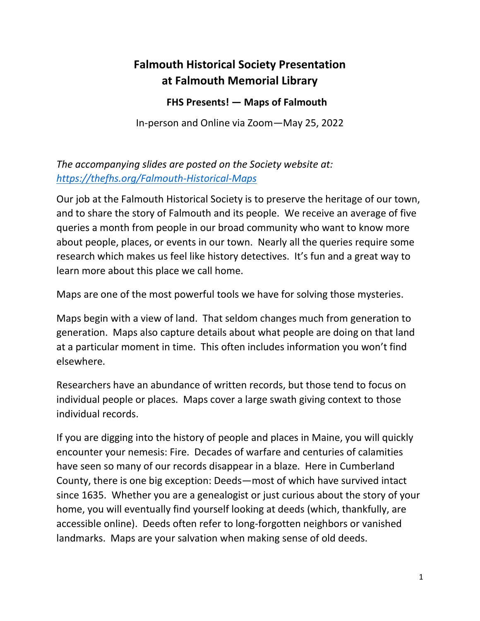## **Falmouth Historical Society Presentation at Falmouth Memorial Library**

## **FHS Presents! — Maps of Falmouth**

In-person and Online via Zoom—May 25, 2022

*The accompanying slides are posted on the Society website at: <https://thefhs.org/Falmouth-Historical-Maps>*

Our job at the Falmouth Historical Society is to preserve the heritage of our town, and to share the story of Falmouth and its people. We receive an average of five queries a month from people in our broad community who want to know more about people, places, or events in our town. Nearly all the queries require some research which makes us feel like history detectives. It's fun and a great way to learn more about this place we call home.

Maps are one of the most powerful tools we have for solving those mysteries.

Maps begin with a view of land. That seldom changes much from generation to generation. Maps also capture details about what people are doing on that land at a particular moment in time. This often includes information you won't find elsewhere.

Researchers have an abundance of written records, but those tend to focus on individual people or places. Maps cover a large swath giving context to those individual records.

If you are digging into the history of people and places in Maine, you will quickly encounter your nemesis: Fire. Decades of warfare and centuries of calamities have seen so many of our records disappear in a blaze. Here in Cumberland County, there is one big exception: Deeds—most of which have survived intact since 1635. Whether you are a genealogist or just curious about the story of your home, you will eventually find yourself looking at deeds (which, thankfully, are accessible online). Deeds often refer to long-forgotten neighbors or vanished landmarks. Maps are your salvation when making sense of old deeds.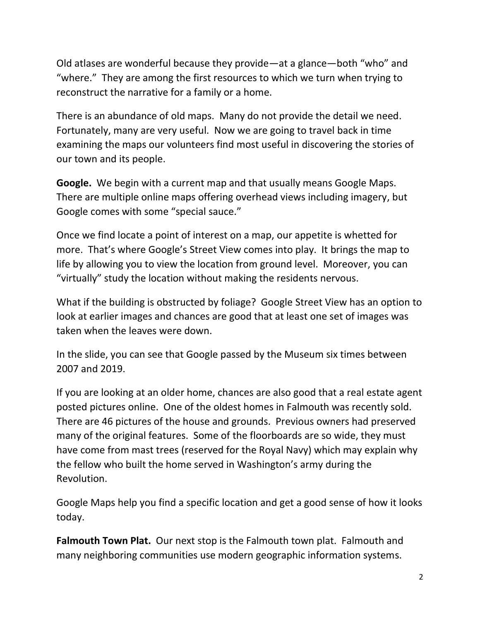Old atlases are wonderful because they provide—at a glance—both "who" and "where." They are among the first resources to which we turn when trying to reconstruct the narrative for a family or a home.

There is an abundance of old maps. Many do not provide the detail we need. Fortunately, many are very useful. Now we are going to travel back in time examining the maps our volunteers find most useful in discovering the stories of our town and its people.

**Google.** We begin with a current map and that usually means Google Maps. There are multiple online maps offering overhead views including imagery, but Google comes with some "special sauce."

Once we find locate a point of interest on a map, our appetite is whetted for more. That's where Google's Street View comes into play. It brings the map to life by allowing you to view the location from ground level. Moreover, you can "virtually" study the location without making the residents nervous.

What if the building is obstructed by foliage? Google Street View has an option to look at earlier images and chances are good that at least one set of images was taken when the leaves were down.

In the slide, you can see that Google passed by the Museum six times between 2007 and 2019.

If you are looking at an older home, chances are also good that a real estate agent posted pictures online. One of the oldest homes in Falmouth was recently sold. There are 46 pictures of the house and grounds. Previous owners had preserved many of the original features. Some of the floorboards are so wide, they must have come from mast trees (reserved for the Royal Navy) which may explain why the fellow who built the home served in Washington's army during the Revolution.

Google Maps help you find a specific location and get a good sense of how it looks today.

**Falmouth Town Plat.** Our next stop is the Falmouth town plat. Falmouth and many neighboring communities use modern geographic information systems.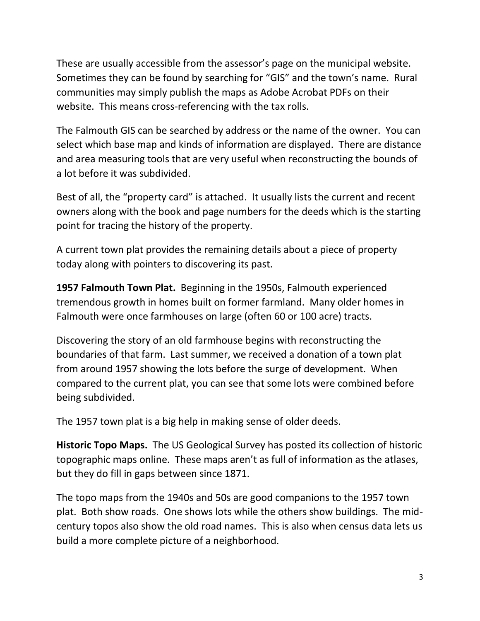These are usually accessible from the assessor's page on the municipal website. Sometimes they can be found by searching for "GIS" and the town's name. Rural communities may simply publish the maps as Adobe Acrobat PDFs on their website. This means cross-referencing with the tax rolls.

The Falmouth GIS can be searched by address or the name of the owner. You can select which base map and kinds of information are displayed. There are distance and area measuring tools that are very useful when reconstructing the bounds of a lot before it was subdivided.

Best of all, the "property card" is attached. It usually lists the current and recent owners along with the book and page numbers for the deeds which is the starting point for tracing the history of the property.

A current town plat provides the remaining details about a piece of property today along with pointers to discovering its past.

**1957 Falmouth Town Plat.** Beginning in the 1950s, Falmouth experienced tremendous growth in homes built on former farmland. Many older homes in Falmouth were once farmhouses on large (often 60 or 100 acre) tracts.

Discovering the story of an old farmhouse begins with reconstructing the boundaries of that farm. Last summer, we received a donation of a town plat from around 1957 showing the lots before the surge of development. When compared to the current plat, you can see that some lots were combined before being subdivided.

The 1957 town plat is a big help in making sense of older deeds.

**Historic Topo Maps.** The US Geological Survey has posted its collection of historic topographic maps online. These maps aren't as full of information as the atlases, but they do fill in gaps between since 1871.

The topo maps from the 1940s and 50s are good companions to the 1957 town plat. Both show roads. One shows lots while the others show buildings. The midcentury topos also show the old road names. This is also when census data lets us build a more complete picture of a neighborhood.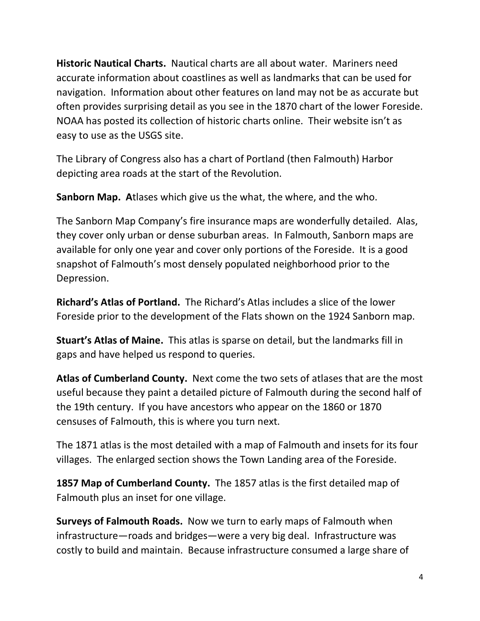**Historic Nautical Charts.** Nautical charts are all about water. Mariners need accurate information about coastlines as well as landmarks that can be used for navigation. Information about other features on land may not be as accurate but often provides surprising detail as you see in the 1870 chart of the lower Foreside. NOAA has posted its collection of historic charts online. Their website isn't as easy to use as the USGS site.

The Library of Congress also has a chart of Portland (then Falmouth) Harbor depicting area roads at the start of the Revolution.

**Sanborn Map. A**tlases which give us the what, the where, and the who.

The Sanborn Map Company's fire insurance maps are wonderfully detailed. Alas, they cover only urban or dense suburban areas. In Falmouth, Sanborn maps are available for only one year and cover only portions of the Foreside. It is a good snapshot of Falmouth's most densely populated neighborhood prior to the Depression.

**Richard's Atlas of Portland.** The Richard's Atlas includes a slice of the lower Foreside prior to the development of the Flats shown on the 1924 Sanborn map.

**Stuart's Atlas of Maine.** This atlas is sparse on detail, but the landmarks fill in gaps and have helped us respond to queries.

**Atlas of Cumberland County.** Next come the two sets of atlases that are the most useful because they paint a detailed picture of Falmouth during the second half of the 19th century. If you have ancestors who appear on the 1860 or 1870 censuses of Falmouth, this is where you turn next.

The 1871 atlas is the most detailed with a map of Falmouth and insets for its four villages. The enlarged section shows the Town Landing area of the Foreside.

**1857 Map of Cumberland County.** The 1857 atlas is the first detailed map of Falmouth plus an inset for one village.

**Surveys of Falmouth Roads.** Now we turn to early maps of Falmouth when infrastructure—roads and bridges—were a very big deal. Infrastructure was costly to build and maintain. Because infrastructure consumed a large share of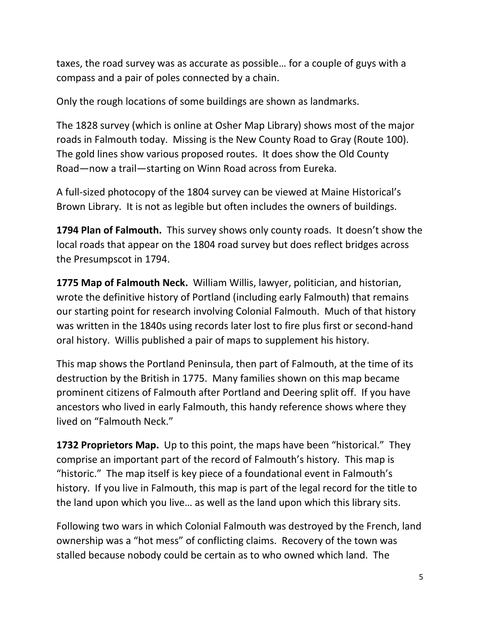taxes, the road survey was as accurate as possible… for a couple of guys with a compass and a pair of poles connected by a chain.

Only the rough locations of some buildings are shown as landmarks.

The 1828 survey (which is online at Osher Map Library) shows most of the major roads in Falmouth today. Missing is the New County Road to Gray (Route 100). The gold lines show various proposed routes. It does show the Old County Road—now a trail—starting on Winn Road across from Eureka.

A full-sized photocopy of the 1804 survey can be viewed at Maine Historical's Brown Library. It is not as legible but often includes the owners of buildings.

**1794 Plan of Falmouth.** This survey shows only county roads. It doesn't show the local roads that appear on the 1804 road survey but does reflect bridges across the Presumpscot in 1794.

**1775 Map of Falmouth Neck.** William Willis, lawyer, politician, and historian, wrote the definitive history of Portland (including early Falmouth) that remains our starting point for research involving Colonial Falmouth. Much of that history was written in the 1840s using records later lost to fire plus first or second-hand oral history. Willis published a pair of maps to supplement his history.

This map shows the Portland Peninsula, then part of Falmouth, at the time of its destruction by the British in 1775. Many families shown on this map became prominent citizens of Falmouth after Portland and Deering split off. If you have ancestors who lived in early Falmouth, this handy reference shows where they lived on "Falmouth Neck."

**1732 Proprietors Map.** Up to this point, the maps have been "historical." They comprise an important part of the record of Falmouth's history. This map is "historic." The map itself is key piece of a foundational event in Falmouth's history. If you live in Falmouth, this map is part of the legal record for the title to the land upon which you live… as well as the land upon which this library sits.

Following two wars in which Colonial Falmouth was destroyed by the French, land ownership was a "hot mess" of conflicting claims. Recovery of the town was stalled because nobody could be certain as to who owned which land. The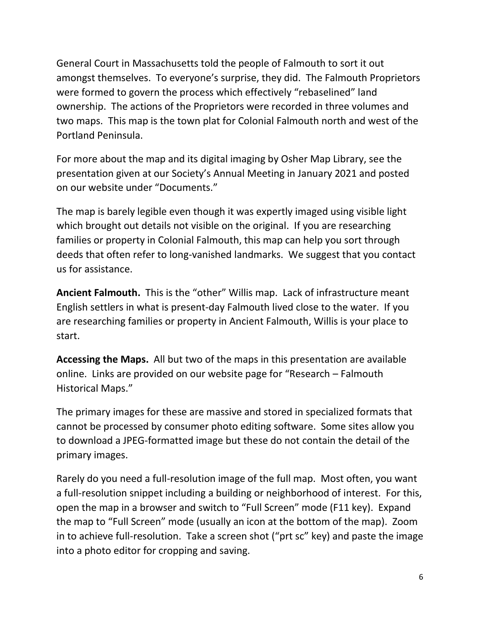General Court in Massachusetts told the people of Falmouth to sort it out amongst themselves. To everyone's surprise, they did. The Falmouth Proprietors were formed to govern the process which effectively "rebaselined" land ownership. The actions of the Proprietors were recorded in three volumes and two maps. This map is the town plat for Colonial Falmouth north and west of the Portland Peninsula.

For more about the map and its digital imaging by Osher Map Library, see the presentation given at our Society's Annual Meeting in January 2021 and posted on our website under "Documents."

The map is barely legible even though it was expertly imaged using visible light which brought out details not visible on the original. If you are researching families or property in Colonial Falmouth, this map can help you sort through deeds that often refer to long-vanished landmarks. We suggest that you contact us for assistance.

**Ancient Falmouth.** This is the "other" Willis map. Lack of infrastructure meant English settlers in what is present-day Falmouth lived close to the water. If you are researching families or property in Ancient Falmouth, Willis is your place to start.

**Accessing the Maps.** All but two of the maps in this presentation are available online. Links are provided on our website page for "Research – Falmouth Historical Maps."

The primary images for these are massive and stored in specialized formats that cannot be processed by consumer photo editing software. Some sites allow you to download a JPEG-formatted image but these do not contain the detail of the primary images.

Rarely do you need a full-resolution image of the full map. Most often, you want a full-resolution snippet including a building or neighborhood of interest. For this, open the map in a browser and switch to "Full Screen" mode (F11 key). Expand the map to "Full Screen" mode (usually an icon at the bottom of the map). Zoom in to achieve full-resolution. Take a screen shot ("prt sc" key) and paste the image into a photo editor for cropping and saving.